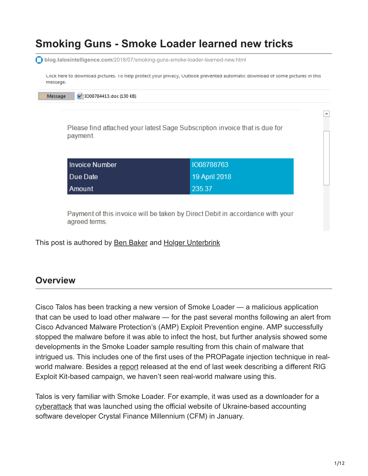# **Smoking Guns - Smoke Loader learned new tricks**

**blog.talosintelligence.com**[/2018/07/smoking-guns-smoke-loader-learned-new.html](https://blog.talosintelligence.com/2018/07/smoking-guns-smoke-loader-learned-new.html) Click here to download pictures. To help protect your privacy, Outlook prevented automatic download of some pictures in this message. Message M IO08784413.doc (130 KB)  $\overline{\phantom{a}}$ Please find attached your latest Sage Subscription invoice that is due for payment. **Invoice Number** 1008788763 Due Date 19 April 2018 235.37 Amount Payment of this invoice will be taken by Direct Debit in accordance with your

This post is authored by [Ben Baker](https://blogs.cisco.com/author/benbaker) and [Holger Unterbrink](https://blogs.cisco.com/author/holgerunterbrink)

#### **Overview**

agreed terms.

Cisco Talos has been tracking a new version of Smoke Loader — a malicious application that can be used to load other malware — for the past several months following an alert from Cisco Advanced Malware Protection's (AMP) Exploit Prevention engine. AMP successfully stopped the malware before it was able to infect the host, but further analysis showed some developments in the Smoke Loader sample resulting from this chain of malware that intrigued us. This includes one of the first uses of the PROPagate injection technique in realworld malware. Besides a [report](https://www.bleepingcomputer.com/news/security/propagate-code-injection-technique-detected-in-the-wild-for-the-first-time/) released at the end of last week describing a different RIG Exploit Kit-based campaign, we haven't seen real-world malware using this.

Talos is very familiar with Smoke Loader. For example, it was used as a downloader for a [cyberattack](https://blog.talosintelligence.com/2018/01/cfm-zeus-variant.html) that was launched using the official website of Ukraine-based accounting software developer Crystal Finance Millennium (CFM) in January.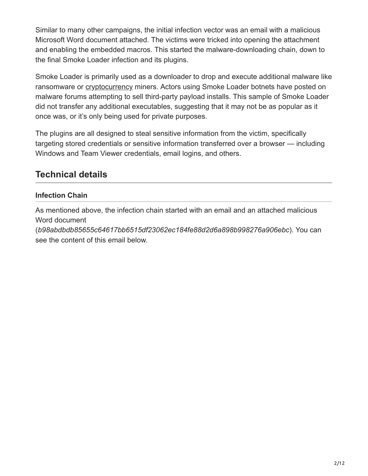Similar to many other campaigns, the initial infection vector was an email with a malicious Microsoft Word document attached. The victims were tricked into opening the attachment and enabling the embedded macros. This started the malware-downloading chain, down to the final Smoke Loader infection and its plugins.

Smoke Loader is primarily used as a downloader to drop and execute additional malware like ransomware or [cryptocurrency](https://blog.talosintelligence.com/2018/01/malicious-xmr-mining.html) miners. Actors using Smoke Loader botnets have posted on malware forums attempting to sell third-party payload installs. This sample of Smoke Loader did not transfer any additional executables, suggesting that it may not be as popular as it once was, or it's only being used for private purposes.

The plugins are all designed to steal sensitive information from the victim, specifically targeting stored credentials or sensitive information transferred over a browser — including Windows and Team Viewer credentials, email logins, and others.

## **Technical details**

#### **Infection Chain**

As mentioned above, the infection chain started with an email and an attached malicious Word document

(*b98abdbdb85655c64617bb6515df23062ec184fe88d2d6a898b998276a906ebc*). You can see the content of this email below.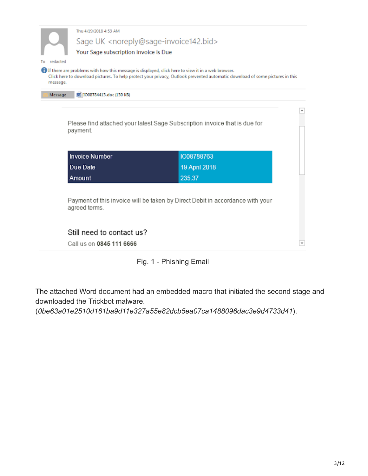|          |                                                                                                   | Sage UK <noreply@sage-invoice142.bid></noreply@sage-invoice142.bid>                                                          |  |  |  |  |
|----------|---------------------------------------------------------------------------------------------------|------------------------------------------------------------------------------------------------------------------------------|--|--|--|--|
| redacted |                                                                                                   | Your Sage subscription invoice is Due                                                                                        |  |  |  |  |
| message. | If there are problems with how this message is displayed, click here to view it in a web browser. | Click here to download pictures. To help protect your privacy, Outlook prevented automatic download of some pictures in this |  |  |  |  |
| Message  | MillO08784413.doc (130 KB)                                                                        |                                                                                                                              |  |  |  |  |
|          |                                                                                                   |                                                                                                                              |  |  |  |  |
|          |                                                                                                   |                                                                                                                              |  |  |  |  |
|          |                                                                                                   |                                                                                                                              |  |  |  |  |
|          | payment.                                                                                          | Please find attached your latest Sage Subscription invoice that is due for                                                   |  |  |  |  |
|          |                                                                                                   |                                                                                                                              |  |  |  |  |
|          | <b>Invoice Number</b>                                                                             | 1008788763                                                                                                                   |  |  |  |  |
|          | Due Date                                                                                          | 19 April 2018                                                                                                                |  |  |  |  |
|          | Amount                                                                                            | 235.37                                                                                                                       |  |  |  |  |
|          |                                                                                                   |                                                                                                                              |  |  |  |  |
|          |                                                                                                   | Payment of this invoice will be taken by Direct Debit in accordance with your                                                |  |  |  |  |
|          | agreed terms.                                                                                     |                                                                                                                              |  |  |  |  |
|          | Still need to contact us?                                                                         |                                                                                                                              |  |  |  |  |

Fig. 1 - Phishing Email

The attached Word document had an embedded macro that initiated the second stage and downloaded the Trickbot malware.

(*0be63a01e2510d161ba9d11e327a55e82dcb5ea07ca1488096dac3e9d4733d41*).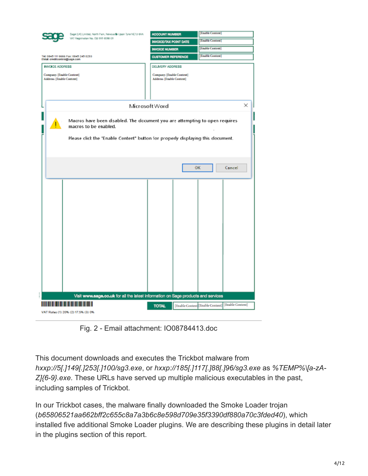|                                    | Sage (LIK) Limited, North Park, Newcastle Upon Tyne NE13 6AA                                         | <b>ACCOUNT NUMBER</b>         | <b>Frable Content</b>                               |  |  |
|------------------------------------|------------------------------------------------------------------------------------------------------|-------------------------------|-----------------------------------------------------|--|--|
|                                    | Will Registration No. 023 555 6098 05                                                                | <b>INVOICE/TAX POINT DATE</b> | <b>Enable Content</b>                               |  |  |
|                                    |                                                                                                      | <b>INVOICE NUMBER</b>         | [Enable Content]                                    |  |  |
| EMail: creditcontrol@sage.com      | Tel: 0845 111 6666 Fax: 0845 245 0253                                                                | <b>CUSTOMER REFERENCE</b>     | [Enable Content]                                    |  |  |
| <b>INVOICE ADDRESS</b>             |                                                                                                      | DELIVERY ADDRESS              |                                                     |  |  |
| Company: [Enable Content]          |                                                                                                      | Company: [Enable Content]     |                                                     |  |  |
| Address: [Enable Content]          |                                                                                                      | Address [Engble Content]      |                                                     |  |  |
|                                    |                                                                                                      |                               |                                                     |  |  |
|                                    |                                                                                                      |                               |                                                     |  |  |
|                                    |                                                                                                      | Microsoft Word                | ×                                                   |  |  |
|                                    |                                                                                                      |                               |                                                     |  |  |
|                                    | Macros have been disabled. The document you are attempting to open requires<br>macros to be enabled. |                               |                                                     |  |  |
|                                    |                                                                                                      |                               |                                                     |  |  |
|                                    | Please click the 'Enable Content" button for properly displaying this document.                      |                               |                                                     |  |  |
|                                    |                                                                                                      |                               |                                                     |  |  |
|                                    |                                                                                                      |                               |                                                     |  |  |
|                                    |                                                                                                      |                               | <b>OK</b><br>Cancel                                 |  |  |
|                                    |                                                                                                      |                               |                                                     |  |  |
|                                    |                                                                                                      |                               |                                                     |  |  |
|                                    |                                                                                                      |                               |                                                     |  |  |
|                                    |                                                                                                      |                               |                                                     |  |  |
|                                    |                                                                                                      |                               |                                                     |  |  |
|                                    |                                                                                                      |                               |                                                     |  |  |
|                                    |                                                                                                      |                               |                                                     |  |  |
|                                    |                                                                                                      |                               |                                                     |  |  |
|                                    |                                                                                                      |                               |                                                     |  |  |
|                                    |                                                                                                      |                               |                                                     |  |  |
|                                    |                                                                                                      |                               |                                                     |  |  |
|                                    |                                                                                                      |                               |                                                     |  |  |
|                                    |                                                                                                      |                               |                                                     |  |  |
|                                    |                                                                                                      |                               |                                                     |  |  |
|                                    |                                                                                                      |                               |                                                     |  |  |
|                                    | Visit www.sage.co.uk for all the latest information on Sage products and services                    |                               |                                                     |  |  |
|                                    | .                                                                                                    | <b>TOTAL</b>                  | [Enable Content] [Enable Content] [Finable Content] |  |  |
| VAT Rates (1) 20% (2) 17.5% (3) 0% |                                                                                                      |                               |                                                     |  |  |

Fig. 2 - Email attachment: IO08784413.doc

This document downloads and executes the Trickbot malware from *hxxp://5[.]149[.]253[.]100/sg3.exe*, or *hxxp://185[.]117[.]88[.]96/sg3.exe* as *%TEMP%\[a-zA-Z]{6-9}.exe*. These URLs have served up multiple malicious executables in the past, including samples of Trickbot.

In our Trickbot cases, the malware finally downloaded the Smoke Loader trojan (*b65806521aa662bff2c655c8a7a3b6c8e598d709e35f3390df880a70c3fded40*), which installed five additional Smoke Loader plugins. We are describing these plugins in detail later in the plugins section of this report.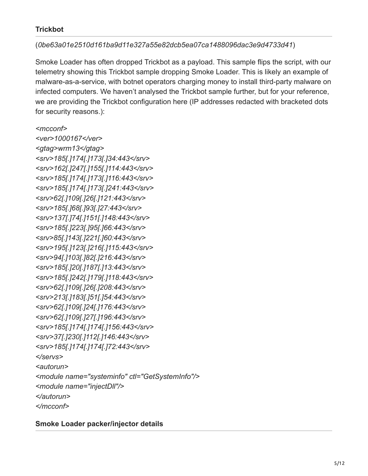#### **Trickbot**

#### (*0be63a01e2510d161ba9d11e327a55e82dcb5ea07ca1488096dac3e9d4733d41*)

Smoke Loader has often dropped Trickbot as a payload. This sample flips the script, with our telemetry showing this Trickbot sample dropping Smoke Loader. This is likely an example of malware-as-a-service, with botnet operators charging money to install third-party malware on infected computers. We haven't analysed the Trickbot sample further, but for your reference, we are providing the Trickbot configuration here (IP addresses redacted with bracketed dots for security reasons.):

*<mcconf>*

*<ver>1000167</ver> <gtag>wrm13</gtag> <srv>185[.]174[.]173[.]34:443</srv> <srv>162[.]247[.]155[.]114:443</srv> <srv>185[.]174[.]173[.]116:443</srv> <srv>185[.]174[.]173[.]241:443</srv> <srv>62[.]109[.]26[.]121:443</srv> <srv>185[.]68[.]93[.]27:443</srv> <srv>137[.]74[.]151[.]148:443</srv> <srv>185[.]223[.]95[.]66:443</srv> <srv>85[.]143[.]221[.]60:443</srv> <srv>195[.]123[.]216[.]115:443</srv> <srv>94[.]103[.]82[.]216:443</srv> <srv>185[.]20[.]187[.]13:443</srv> <srv>185[.]242[.]179[.]118:443</srv> <srv>62[.]109[.]26[.]208:443</srv> <srv>213[.]183[.]51[.]54:443</srv> <srv>62[.]109[.]24[.]176:443</srv> <srv>62[.]109[.]27[.]196:443</srv> <srv>185[.]174[.]174[.]156:443</srv> <srv>37[.]230[.]112[.]146:443</srv> <srv>185[.]174[.]174[.]72:443</srv> </servs> <autorun> <module name="systeminfo" ctl="GetSystemInfo"/> <module name="injectDll"/> </autorun> </mcconf>*

**Smoke Loader packer/injector details**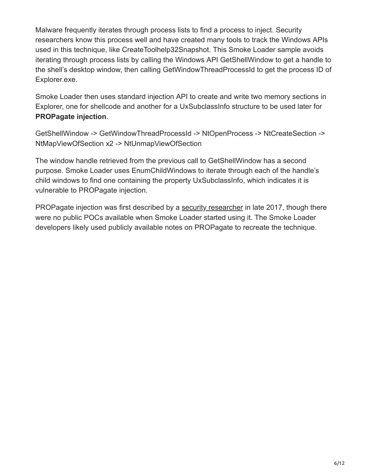Malware frequently iterates through process lists to find a process to inject. Security researchers know this process well and have created many tools to track the Windows APIs used in this technique, like CreateToolhelp32Snapshot. This Smoke Loader sample avoids iterating through process lists by calling the Windows API GetShellWindow to get a handle to the shell's desktop window, then calling GetWindowThreadProcessId to get the process ID of Explorer.exe.

Smoke Loader then uses standard injection API to create and write two memory sections in Explorer, one for shellcode and another for a UxSubclassInfo structure to be used later for **PROPagate injection**.

GetShellWindow -> GetWindowThreadProcessId -> NtOpenProcess -> NtCreateSection -> NtMapViewOfSection x2 -> NtUnmapViewOfSection

The window handle retrieved from the previous call to GetShellWindow has a second purpose. Smoke Loader uses EnumChildWindows to iterate through each of the handle's child windows to find one containing the property UxSubclassInfo, which indicates it is vulnerable to PROPagate injection.

PROPagate injection was first described by a [security researcher](http://www.hexacorn.com/blog/2017/10/26/propagate-a-new-code-injection-trick/) in late 2017, though there were no public POCs available when Smoke Loader started using it. The Smoke Loader developers likely used publicly available notes on PROPagate to recreate the technique.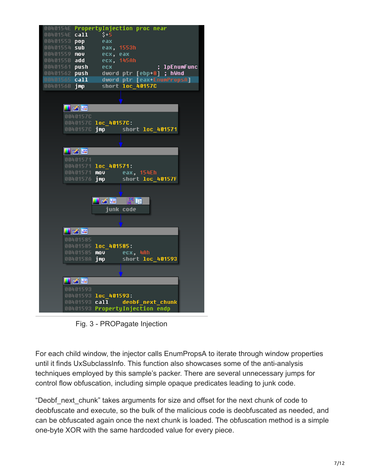

Fig. 3 - PROPagate Injection

For each child window, the injector calls EnumPropsA to iterate through window properties until it finds UxSubclassInfo. This function also showcases some of the anti-analysis techniques employed by this sample's packer. There are several unnecessary jumps for control flow obfuscation, including simple opaque predicates leading to junk code.

"Deobf\_next\_chunk" takes arguments for size and offset for the next chunk of code to deobfuscate and execute, so the bulk of the malicious code is deobfuscated as needed, and can be obfuscated again once the next chunk is loaded. The obfuscation method is a simple one-byte XOR with the same hardcoded value for every piece.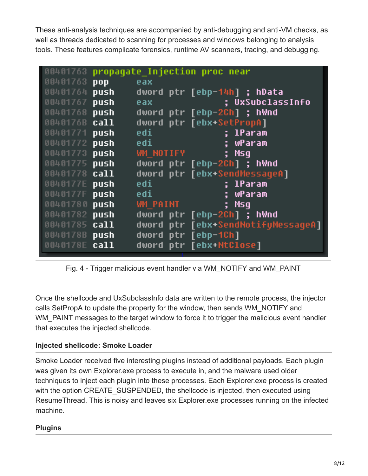These anti-analysis techniques are accompanied by anti-debugging and anti-VM checks, as well as threads dedicated to scanning for processes and windows belonging to analysis tools. These features complicate forensics, runtime AV scanners, tracing, and debugging.

| 00401763 | propaqate Injection proc near |                 |                                    |
|----------|-------------------------------|-----------------|------------------------------------|
| 00401763 | pop                           | eax             |                                    |
| 00401764 | push                          |                 | dword ptr [ebp-14h] ; hData        |
| 00401767 | push                          | eax             | <u>; UxSubclassInfo</u>            |
| 00401768 | push                          |                 | dword ptr [ebp-2Ch] ; hWnd         |
| 0040176B | call                          |                 | dword ptr [ebx+SetPropA]           |
| 00401771 | push                          | edi             | <u>; IParam</u>                    |
| 00401772 | push                          | edi             | ; wParam                           |
| 00401773 | push                          | WM NOTIFY       | ; Msq                              |
| 00401775 | push                          |                 | dword ptr [ebp-2Ch] ; hWnd         |
| 00401778 | call                          |                 | dword ptr [ebx+SendMessageA]       |
| 0040177E | push                          | edi             | ; IParam                           |
| 0040177F | push                          | edi             | ; wPar <u>am</u>                   |
| 00401780 | push                          | <b>WM PAINT</b> | ; Msq                              |
| 00401782 | push                          |                 | dword ptr [ebp-2Ch] ; hWnd         |
| 00401785 | call                          |                 | dword ptr [ebx+SendNotifyMessageA] |
| 0040178B | push                          | dword           | ptr [ebp-1Ch]                      |
| 0040178E | call                          |                 | dword ptr [ebx+NtClose]            |

Fig. 4 - Trigger malicious event handler via WM\_NOTIFY and WM\_PAINT

Once the shellcode and UxSubclassInfo data are written to the remote process, the injector calls SetPropA to update the property for the window, then sends WM\_NOTIFY and WM PAINT messages to the target window to force it to trigger the malicious event handler that executes the injected shellcode.

#### **Injected shellcode: Smoke Loader**

Smoke Loader received five interesting plugins instead of additional payloads. Each plugin was given its own Explorer.exe process to execute in, and the malware used older techniques to inject each plugin into these processes. Each Explorer.exe process is created with the option CREATE\_SUSPENDED, the shellcode is injected, then executed using ResumeThread. This is noisy and leaves six Explorer.exe processes running on the infected machine.

### **Plugins**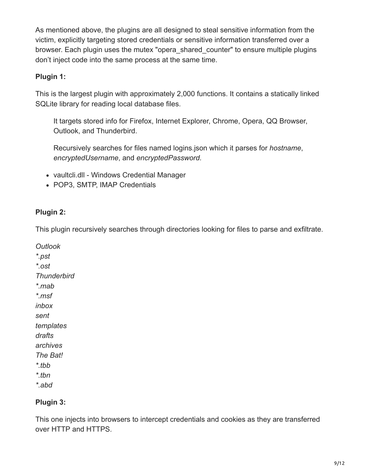As mentioned above, the plugins are all designed to steal sensitive information from the victim, explicitly targeting stored credentials or sensitive information transferred over a browser. Each plugin uses the mutex "opera\_shared\_counter" to ensure multiple plugins don't inject code into the same process at the same time.

#### **Plugin 1:**

This is the largest plugin with approximately 2,000 functions. It contains a statically linked SQLite library for reading local database files.

It targets stored info for Firefox, Internet Explorer, Chrome, Opera, QQ Browser, Outlook, and Thunderbird.

Recursively searches for files named logins.json which it parses for *hostname*, *encryptedUsername*, and *encryptedPassword.*

- vaultcli.dll Windows Credential Manager
- POP3, SMTP, IMAP Credentials

#### **Plugin 2:**

This plugin recursively searches through directories looking for files to parse and exfiltrate.

*Outlook \*.pst \*.ost Thunderbird \*.mab \*.msf inbox sent templates drafts archives The Bat! \*.tbb \*.tbn \*.abd*

#### **Plugin 3:**

This one injects into browsers to intercept credentials and cookies as they are transferred over HTTP and HTTPS.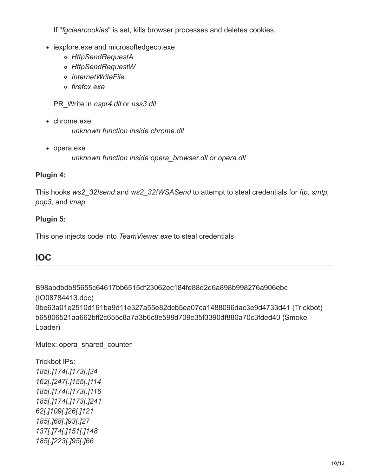If "*fgclearcookies*" is set, kills browser processes and deletes cookies.

- iexplore.exe and microsoftedgecp.exe
	- *HttpSendRequestA*
	- *HttpSendRequestW*
	- *InternetWriteFile*
	- *firefox.exe*

PR\_Write in *nspr4.dll* or *nss3.dll*

- chrome.exe *unknown function inside chrome.dll*
- opera.exe
	- *unknown function inside opera\_browser.dll or opera.dll*

#### **Plugin 4:**

This hooks *ws2\_32!send* and *ws2\_32!WSASend* to attempt to steal credentials for *ftp, smtp, pop3*, and *imap*

#### **Plugin 5:**

This one injects code into *TeamViewer.exe* to steal credentials

### **IOC**

B98abdbdb85655c64617bb6515df23062ec184fe88d2d6a898b998276a906ebc (IO08784413.doc) 0be63a01e2510d161ba9d11e327a55e82dcb5ea07ca1488096dac3e9d4733d41 (Trickbot) b65806521aa662bff2c655c8a7a3b6c8e598d709e35f3390df880a70c3fded40 (Smoke Loader)

Mutex: opera\_shared\_counter

Trickbot IPs: *185[.]174[.]173[.]34 162[.]247[.]155[.]114 185[.]174[.]173[.]116 185[.]174[.]173[.]241 62[.]109[.]26[.]121 185[.]68[.]93[.]27 137[.]74[.]151[.]148 185[.]223[.]95[.]66*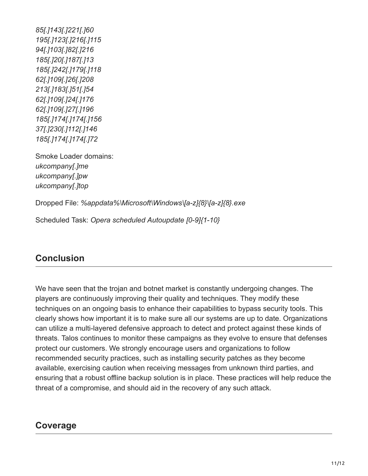*85[.]143[.]221[.]60 195[.]123[.]216[.]115 94[.]103[.]82[.]216 185[.]20[.]187[.]13 185[.]242[.]179[.]118 62[.]109[.]26[.]208 213[.]183[.]51[.]54 62[.]109[.]24[.]176 62[.]109[.]27[.]196 185[.]174[.]174[.]156 37[.]230[.]112[.]146 185[.]174[.]174[.]72*

Smoke Loader domains: *ukcompany[.]me ukcompany[.]pw ukcompany[.]top*

Dropped File: *%appdata%\Microsoft\Windows\[a-z]{8}\[a-z]{8}.exe*

Scheduled Task: *Opera scheduled Autoupdate [0-9]{1-10}*

## **Conclusion**

We have seen that the trojan and botnet market is constantly undergoing changes. The players are continuously improving their quality and techniques. They modify these techniques on an ongoing basis to enhance their capabilities to bypass security tools. This clearly shows how important it is to make sure all our systems are up to date. Organizations can utilize a multi-layered defensive approach to detect and protect against these kinds of threats. Talos continues to monitor these campaigns as they evolve to ensure that defenses protect our customers. We strongly encourage users and organizations to follow recommended security practices, such as installing security patches as they become available, exercising caution when receiving messages from unknown third parties, and ensuring that a robust offline backup solution is in place. These practices will help reduce the threat of a compromise, and should aid in the recovery of any such attack.

### **Coverage**